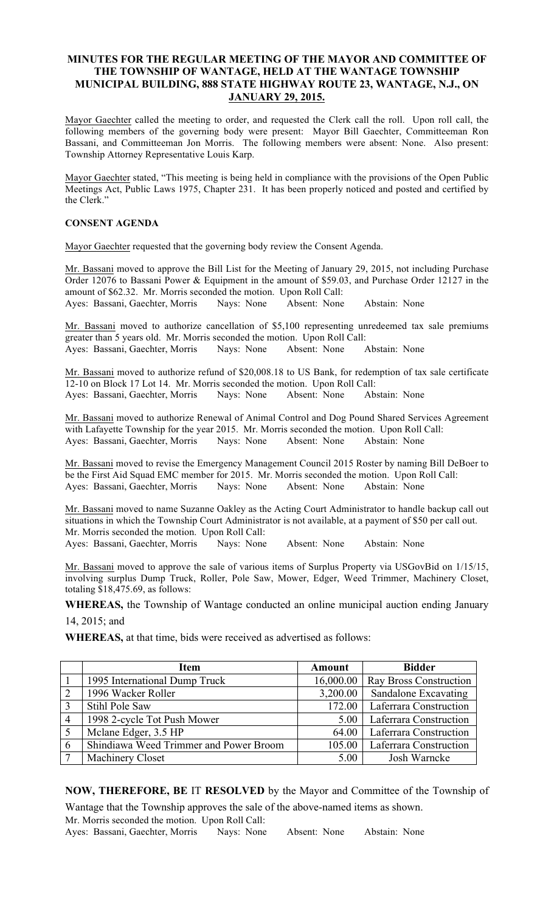# MINUTES FOR THE REGULAR MEETING OF THE MAYOR AND COMMITTEE OF THE TOWNSHIP OF WANTAGE, HELD AT THE WANTAGE TOWNSHIP MUNICIPAL BUILDING, 888 STATE HIGHWAY ROUTE 23, WANTAGE, N.J., ON JANUARY 29, 2015.

Mayor Gaechter called the meeting to order, and requested the Clerk call the roll. Upon roll call, the following members of the governing body were present: Mayor Bill Gaechter, Committeeman Ron Bassani, and Committeeman Jon Morris. The following members were absent: None. Also present: Township Attorney Representative Louis Karp.

Mayor Gaechter stated, "This meeting is being held in compliance with the provisions of the Open Public Meetings Act, Public Laws 1975, Chapter 231. It has been properly noticed and posted and certified by the Clerk."

# CONSENT AGENDA

Mayor Gaechter requested that the governing body review the Consent Agenda.

Mr. Bassani moved to approve the Bill List for the Meeting of January 29, 2015, not including Purchase Order 12076 to Bassani Power & Equipment in the amount of \$59.03, and Purchase Order 12127 in the amount of \$62.32. Mr. Morris seconded the motion. Upon Roll Call: Ayes: Bassani, Gaechter, Morris Nays: None Absent: None Abstain: None

Mr. Bassani moved to authorize cancellation of \$5,100 representing unredeemed tax sale premiums greater than 5 years old. Mr. Morris seconded the motion. Upon Roll Call: Ayes: Bassani, Gaechter, Morris Nays: None Absent: None Abstain: None

Mr. Bassani moved to authorize refund of \$20,008.18 to US Bank, for redemption of tax sale certificate 12-10 on Block 17 Lot 14. Mr. Morris seconded the motion. Upon Roll Call: Ayes: Bassani, Gaechter, Morris Nays: None Absent: None Abstain: None

Mr. Bassani moved to authorize Renewal of Animal Control and Dog Pound Shared Services Agreement with Lafayette Township for the year 2015. Mr. Morris seconded the motion. Upon Roll Call: Ayes: Bassani, Gaechter, Morris Nays: None Absent: None Abstain: None

Mr. Bassani moved to revise the Emergency Management Council 2015 Roster by naming Bill DeBoer to be the First Aid Squad EMC member for 2015. Mr. Morris seconded the motion. Upon Roll Call: Ayes: Bassani, Gaechter, Morris Nays: None Absent: None Abstain: None

Mr. Bassani moved to name Suzanne Oakley as the Acting Court Administrator to handle backup call out situations in which the Township Court Administrator is not available, at a payment of \$50 per call out. Mr. Morris seconded the motion. Upon Roll Call: Ayes: Bassani, Gaechter, Morris Nays: None Absent: None Abstain: None

Mr. Bassani moved to approve the sale of various items of Surplus Property via USGovBid on 1/15/15, involving surplus Dump Truck, Roller, Pole Saw, Mower, Edger, Weed Trimmer, Machinery Closet, totaling \$18,475.69, as follows:

WHEREAS, the Township of Wantage conducted an online municipal auction ending January 14, 2015; and

WHEREAS, at that time, bids were received as advertised as follows:

|                | <b>Item</b>                            | <b>Amount</b> | <b>Bidder</b>                 |
|----------------|----------------------------------------|---------------|-------------------------------|
|                | 1995 International Dump Truck          | 16,000.00     | <b>Ray Bross Construction</b> |
| 2              | 1996 Wacker Roller                     | 3,200.00      | <b>Sandalone Excavating</b>   |
| 3              | Stihl Pole Saw                         | 172.00        | <b>Laferrara Construction</b> |
| $\overline{4}$ | 1998 2-cycle Tot Push Mower            | 5.00          | Laferrara Construction        |
| $\overline{5}$ | Mclane Edger, 3.5 HP                   | 64.00         | Laferrara Construction        |
| 6              | Shindiawa Weed Trimmer and Power Broom | 105.00        | Laferrara Construction        |
| $\mathcal{L}$  | <b>Machinery Closet</b>                | 5.00          | Josh Warncke                  |

NOW, THEREFORE, BE IT RESOLVED by the Mayor and Committee of the Township of

Wantage that the Township approves the sale of the above-named items as shown. Mr. Morris seconded the motion. Upon Roll Call: Ayes: Bassani, Gaechter, Morris Nays: None Absent: None Abstain: None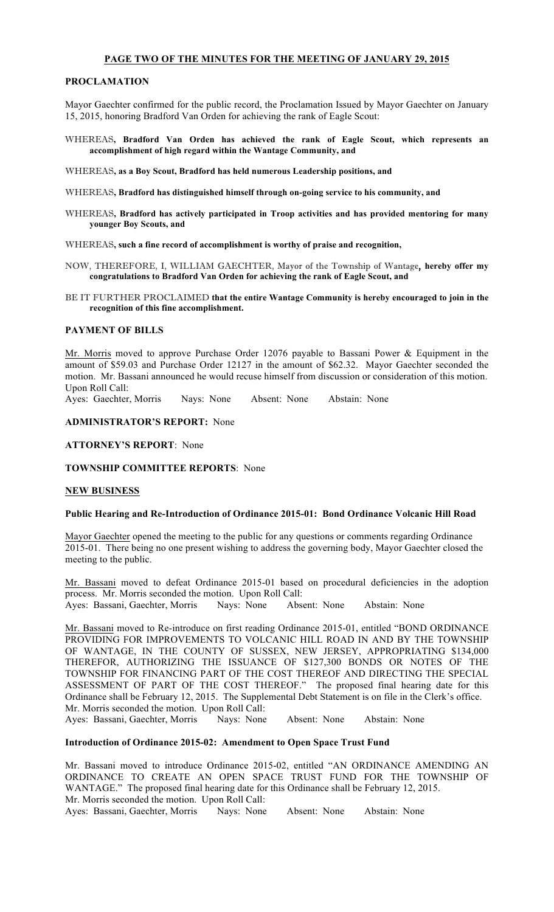### PAGE TWO OF THE MINUTES FOR THE MEETING OF JANUARY 29, 2015

### PROCLAMATION

Mayor Gaechter confirmed for the public record, the Proclamation Issued by Mayor Gaechter on January 15, 2015, honoring Bradford Van Orden for achieving the rank of Eagle Scout:

WHEREAS, Bradford Van Orden has achieved the rank of Eagle Scout, which represents an accomplishment of high regard within the Wantage Community, and

WHEREAS, as a Boy Scout, Bradford has held numerous Leadership positions, and

WHEREAS, Bradford has distinguished himself through on-going service to his community, and

WHEREAS, Bradford has actively participated in Troop activities and has provided mentoring for many younger Boy Scouts, and

WHEREAS, such a fine record of accomplishment is worthy of praise and recognition,

- NOW, THEREFORE, I, WILLIAM GAECHTER, Mayor of the Township of Wantage, hereby offer my congratulations to Bradford Van Orden for achieving the rank of Eagle Scout, and
- BE IT FURTHER PROCLAIMED that the entire Wantage Community is hereby encouraged to join in the recognition of this fine accomplishment.

#### PAYMENT OF BILLS

Mr. Morris moved to approve Purchase Order 12076 payable to Bassani Power & Equipment in the amount of \$59.03 and Purchase Order 12127 in the amount of \$62.32. Mayor Gaechter seconded the motion. Mr. Bassani announced he would recuse himself from discussion or consideration of this motion. Upon Roll Call:

Ayes: Gaechter, Morris Nays: None Absent: None Abstain: None

ADMINISTRATOR'S REPORT: None

ATTORNEY'S REPORT: None

TOWNSHIP COMMITTEE REPORTS: None

### NEW BUSINESS

### Public Hearing and Re-Introduction of Ordinance 2015-01: Bond Ordinance Volcanic Hill Road

Mayor Gaechter opened the meeting to the public for any questions or comments regarding Ordinance 2015-01. There being no one present wishing to address the governing body, Mayor Gaechter closed the meeting to the public.

Mr. Bassani moved to defeat Ordinance 2015-01 based on procedural deficiencies in the adoption process. Mr. Morris seconded the motion. Upon Roll Call: Ayes: Bassani, Gaechter, Morris Nays: None Absent: None Abstain: None

Mr. Bassani moved to Re-introduce on first reading Ordinance 2015-01, entitled "BOND ORDINANCE PROVIDING FOR IMPROVEMENTS TO VOLCANIC HILL ROAD IN AND BY THE TOWNSHIP OF WANTAGE, IN THE COUNTY OF SUSSEX, NEW JERSEY, APPROPRIATING \$134,000 THEREFOR, AUTHORIZING THE ISSUANCE OF \$127,300 BONDS OR NOTES OF THE TOWNSHIP FOR FINANCING PART OF THE COST THEREOF AND DIRECTING THE SPECIAL ASSESSMENT OF PART OF THE COST THEREOF." The proposed final hearing date for this Ordinance shall be February 12, 2015. The Supplemental Debt Statement is on file in the Clerk's office. Mr. Morris seconded the motion. Upon Roll Call:

Ayes: Bassani, Gaechter, Morris Nays: None Absent: None Abstain: None

### Introduction of Ordinance 2015-02: Amendment to Open Space Trust Fund

Mr. Bassani moved to introduce Ordinance 2015-02, entitled "AN ORDINANCE AMENDING AN ORDINANCE TO CREATE AN OPEN SPACE TRUST FUND FOR THE TOWNSHIP OF WANTAGE." The proposed final hearing date for this Ordinance shall be February 12, 2015. Mr. Morris seconded the motion. Upon Roll Call: Ayes: Bassani, Gaechter, Morris Nays: None Absent: None Abstain: None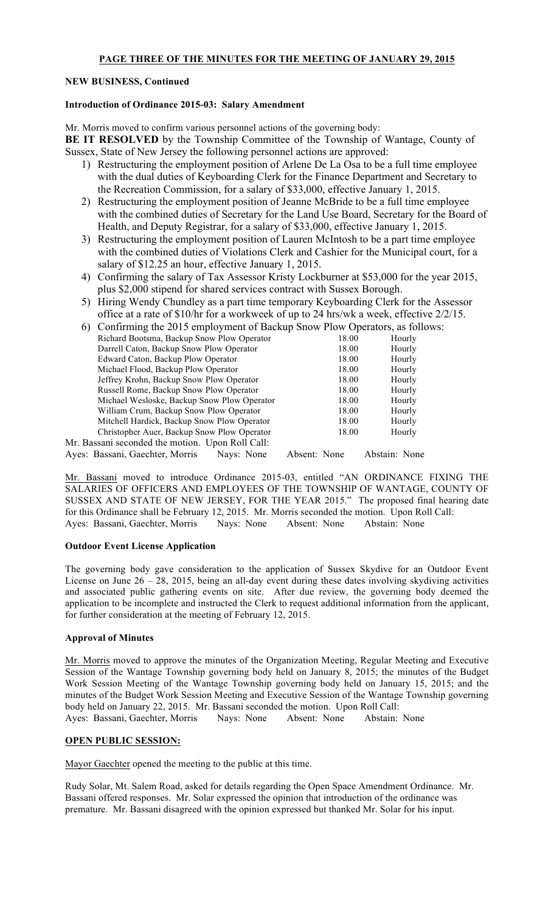## NEW BUSINESS, Continued

## Introduction of Ordinance 2015-03: Salary Amendment

Mr. Morris moved to confirm various personnel actions of the governing body:

BE IT RESOLVED by the Township Committee of the Township of Wantage, County of Sussex, State of New Jersey the following personnel actions are approved:

- 1) Restructuring the employment position of Arlene De La Osa to be a full time employee with the dual duties of Keyboarding Clerk for the Finance Department and Secretary to the Recreation Commission, for a salary of \$33,000, effective January 1, 2015.
- 2) Restructuring the employment position of Jeanne McBride to be a full time employee with the combined duties of Secretary for the Land Use Board, Secretary for the Board of Health, and Deputy Registrar, for a salary of \$33,000, effective January 1, 2015.
- 3) Restructuring the employment position of Lauren McIntosh to be a part time employee with the combined duties of Violations Clerk and Cashier for the Municipal court, for a salary of \$12.25 an hour, effective January 1, 2015.
- 4) Confirming the salary of Tax Assessor Kristy Lockburner at \$53,000 for the year 2015, plus \$2,000 stipend for shared services contract with Sussex Borough.
- 5) Hiring Wendy Chundley as a part time temporary Keyboarding Clerk for the Assessor office at a rate of \$10/hr for a workweek of up to 24 hrs/wk a week, effective 2/2/15.

|                                                                                                                 |  |  |  |  |  |  | 6) Confirming the 2015 employment of Backup Snow Plow Operators, as follows: |
|-----------------------------------------------------------------------------------------------------------------|--|--|--|--|--|--|------------------------------------------------------------------------------|
| the second contract and contract the contract of the contract of the contract of the contract of the contract o |  |  |  |  |  |  |                                                                              |

| Richard Bootsma, Backup Snow Plow Operator       |              | 18.00 |               | Hourly |
|--------------------------------------------------|--------------|-------|---------------|--------|
| Darrell Caton, Backup Snow Plow Operator         |              | 18.00 |               | Hourly |
| Edward Caton, Backup Plow Operator               |              | 18.00 |               | Hourly |
| Michael Flood, Backup Plow Operator              |              | 18.00 |               | Hourly |
| Jeffrey Krohn, Backup Snow Plow Operator         |              | 18.00 |               | Hourly |
| Russell Rome, Backup Snow Plow Operator          |              | 18.00 |               | Hourly |
| Michael Wesloske, Backup Snow Plow Operator      |              | 18.00 |               | Hourly |
| William Crum, Backup Snow Plow Operator          |              | 18.00 |               | Hourly |
| Mitchell Hardick, Backup Snow Plow Operator      |              | 18.00 |               | Hourly |
| Christopher Auer, Backup Snow Plow Operator      |              | 18.00 |               | Hourly |
| Mr. Bassani seconded the motion. Upon Roll Call: |              |       |               |        |
| Ayes: Bassani, Gaechter, Morris<br>Navs: None    | Absent: None |       | Abstain: None |        |

Mr. Bassani moved to introduce Ordinance 2015-03, entitled "AN ORDINANCE FIXING THE SALARIES OF OFFICERS AND EMPLOYEES OF THE TOWNSHIP OF WANTAGE, COUNTY OF SUSSEX AND STATE OF NEW JERSEY, FOR THE YEAR 2015." The proposed final hearing date for this Ordinance shall be February 12, 2015. Mr. Morris seconded the motion. Upon Roll Call: Ayes: Bassani, Gaechter, Morris Nays: None Absent: None Abstain: None

## Outdoor Event License Application

The governing body gave consideration to the application of Sussex Skydive for an Outdoor Event License on June 26 – 28, 2015, being an all-day event during these dates involving skydiving activities and associated public gathering events on site. After due review, the governing body deemed the application to be incomplete and instructed the Clerk to request additional information from the applicant, for further consideration at the meeting of February 12, 2015.

## Approval of Minutes

Mr. Morris moved to approve the minutes of the Organization Meeting, Regular Meeting and Executive Session of the Wantage Township governing body held on January 8, 2015; the minutes of the Budget Work Session Meeting of the Wantage Township governing body held on January 15, 2015; and the minutes of the Budget Work Session Meeting and Executive Session of the Wantage Township governing body held on January 22, 2015. Mr. Bassani seconded the motion. Upon Roll Call: Ayes: Bassani, Gaechter, Morris Nays: None Absent: None Abstain: None

## OPEN PUBLIC SESSION:

Mayor Gaechter opened the meeting to the public at this time.

Rudy Solar, Mt. Salem Road, asked for details regarding the Open Space Amendment Ordinance. Mr. Bassani offered responses. Mr. Solar expressed the opinion that introduction of the ordinance was premature. Mr. Bassani disagreed with the opinion expressed but thanked Mr. Solar for his input.